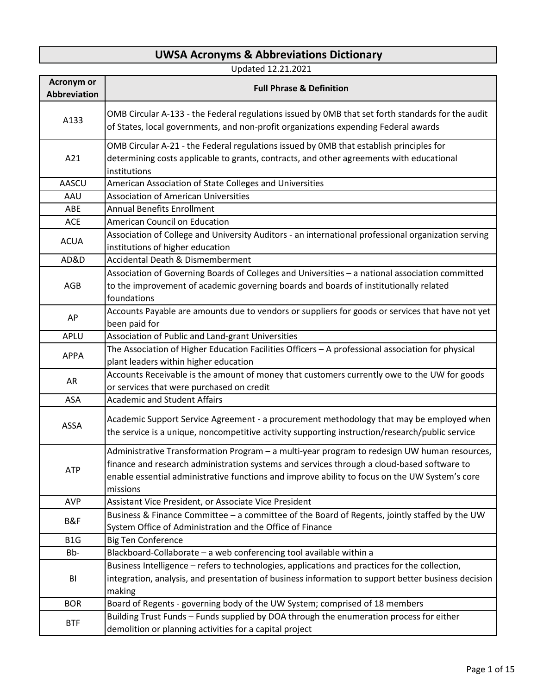## **UWSA Acronyms & Abbreviations Dictionary**

Updated 12.21.2021

| <b>Acronym or</b><br><b>Abbreviation</b> | <b>Full Phrase &amp; Definition</b>                                                                                                                                                                                                                                                                      |
|------------------------------------------|----------------------------------------------------------------------------------------------------------------------------------------------------------------------------------------------------------------------------------------------------------------------------------------------------------|
| A133                                     | OMB Circular A-133 - the Federal regulations issued by OMB that set forth standards for the audit<br>of States, local governments, and non-profit organizations expending Federal awards                                                                                                                 |
| A21                                      | OMB Circular A-21 - the Federal regulations issued by OMB that establish principles for<br>determining costs applicable to grants, contracts, and other agreements with educational<br>institutions                                                                                                      |
| AASCU                                    | American Association of State Colleges and Universities                                                                                                                                                                                                                                                  |
| AAU                                      | <b>Association of American Universities</b>                                                                                                                                                                                                                                                              |
| ABE                                      | <b>Annual Benefits Enrollment</b>                                                                                                                                                                                                                                                                        |
| <b>ACE</b>                               | American Council on Education                                                                                                                                                                                                                                                                            |
| <b>ACUA</b>                              | Association of College and University Auditors - an international professional organization serving<br>institutions of higher education                                                                                                                                                                  |
| AD&D                                     | <b>Accidental Death &amp; Dismemberment</b>                                                                                                                                                                                                                                                              |
| AGB                                      | Association of Governing Boards of Colleges and Universities - a national association committed<br>to the improvement of academic governing boards and boards of institutionally related<br>foundations                                                                                                  |
| AP                                       | Accounts Payable are amounts due to vendors or suppliers for goods or services that have not yet<br>been paid for                                                                                                                                                                                        |
| APLU                                     | Association of Public and Land-grant Universities                                                                                                                                                                                                                                                        |
| <b>APPA</b>                              | The Association of Higher Education Facilities Officers - A professional association for physical<br>plant leaders within higher education                                                                                                                                                               |
| AR                                       | Accounts Receivable is the amount of money that customers currently owe to the UW for goods<br>or services that were purchased on credit                                                                                                                                                                 |
| ASA                                      | <b>Academic and Student Affairs</b>                                                                                                                                                                                                                                                                      |
| ASSA                                     | Academic Support Service Agreement - a procurement methodology that may be employed when<br>the service is a unique, noncompetitive activity supporting instruction/research/public service                                                                                                              |
| <b>ATP</b>                               | Administrative Transformation Program - a multi-year program to redesign UW human resources,<br>finance and research administration systems and services through a cloud-based software to<br>enable essential administrative functions and improve ability to focus on the UW System's core<br>missions |
| <b>AVP</b>                               | Assistant Vice President, or Associate Vice President                                                                                                                                                                                                                                                    |
| B&F                                      | Business & Finance Committee - a committee of the Board of Regents, jointly staffed by the UW<br>System Office of Administration and the Office of Finance                                                                                                                                               |
| B <sub>1</sub> G                         | <b>Big Ten Conference</b>                                                                                                                                                                                                                                                                                |
| Bb-                                      | Blackboard-Collaborate - a web conferencing tool available within a                                                                                                                                                                                                                                      |
| BI                                       | Business Intelligence - refers to technologies, applications and practices for the collection,<br>integration, analysis, and presentation of business information to support better business decision<br>making                                                                                          |
| <b>BOR</b>                               | Board of Regents - governing body of the UW System; comprised of 18 members                                                                                                                                                                                                                              |
| <b>BTF</b>                               | Building Trust Funds - Funds supplied by DOA through the enumeration process for either<br>demolition or planning activities for a capital project                                                                                                                                                       |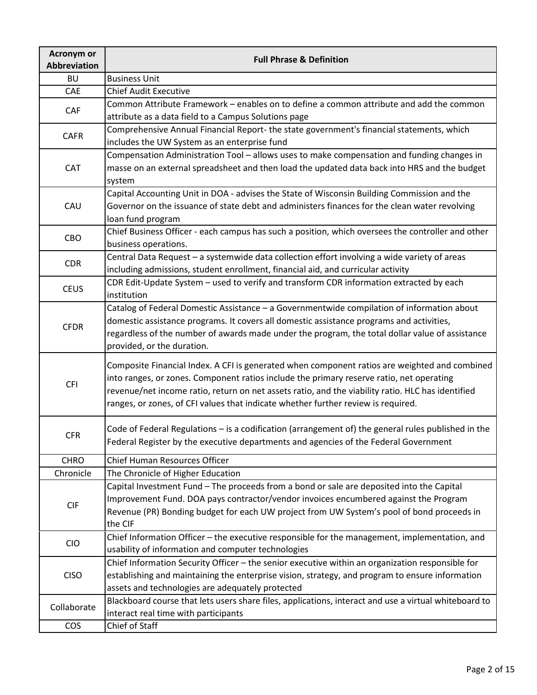| <b>Acronym or</b><br>Abbreviation | <b>Full Phrase &amp; Definition</b>                                                                                                                                                                                                                                                                                                                                                 |
|-----------------------------------|-------------------------------------------------------------------------------------------------------------------------------------------------------------------------------------------------------------------------------------------------------------------------------------------------------------------------------------------------------------------------------------|
| <b>BU</b>                         | <b>Business Unit</b>                                                                                                                                                                                                                                                                                                                                                                |
| CAE                               | <b>Chief Audit Executive</b>                                                                                                                                                                                                                                                                                                                                                        |
| CAF                               | Common Attribute Framework - enables on to define a common attribute and add the common<br>attribute as a data field to a Campus Solutions page                                                                                                                                                                                                                                     |
| <b>CAFR</b>                       | Comprehensive Annual Financial Report- the state government's financial statements, which<br>includes the UW System as an enterprise fund                                                                                                                                                                                                                                           |
| <b>CAT</b>                        | Compensation Administration Tool - allows uses to make compensation and funding changes in<br>masse on an external spreadsheet and then load the updated data back into HRS and the budget<br>system                                                                                                                                                                                |
| CAU                               | Capital Accounting Unit in DOA - advises the State of Wisconsin Building Commission and the<br>Governor on the issuance of state debt and administers finances for the clean water revolving<br>loan fund program                                                                                                                                                                   |
| CBO                               | Chief Business Officer - each campus has such a position, which oversees the controller and other<br>business operations.                                                                                                                                                                                                                                                           |
| <b>CDR</b>                        | Central Data Request - a systemwide data collection effort involving a wide variety of areas<br>including admissions, student enrollment, financial aid, and curricular activity                                                                                                                                                                                                    |
| <b>CEUS</b>                       | CDR Edit-Update System - used to verify and transform CDR information extracted by each<br>institution                                                                                                                                                                                                                                                                              |
| <b>CFDR</b>                       | Catalog of Federal Domestic Assistance - a Governmentwide compilation of information about<br>domestic assistance programs. It covers all domestic assistance programs and activities,<br>regardless of the number of awards made under the program, the total dollar value of assistance<br>provided, or the duration.                                                             |
| <b>CFI</b>                        | Composite Financial Index. A CFI is generated when component ratios are weighted and combined<br>into ranges, or zones. Component ratios include the primary reserve ratio, net operating<br>revenue/net income ratio, return on net assets ratio, and the viability ratio. HLC has identified<br>ranges, or zones, of CFI values that indicate whether further review is required. |
| <b>CFR</b>                        | Code of Federal Regulations - is a codification (arrangement of) the general rules published in the<br>Federal Register by the executive departments and agencies of the Federal Government                                                                                                                                                                                         |
| <b>CHRO</b>                       | Chief Human Resources Officer                                                                                                                                                                                                                                                                                                                                                       |
| Chronicle                         | The Chronicle of Higher Education                                                                                                                                                                                                                                                                                                                                                   |
| <b>CIF</b>                        | Capital Investment Fund - The proceeds from a bond or sale are deposited into the Capital<br>Improvement Fund. DOA pays contractor/vendor invoices encumbered against the Program<br>Revenue (PR) Bonding budget for each UW project from UW System's pool of bond proceeds in<br>the CIF                                                                                           |
| <b>CIO</b>                        | Chief Information Officer - the executive responsible for the management, implementation, and<br>usability of information and computer technologies                                                                                                                                                                                                                                 |
| <b>CISO</b>                       | Chief Information Security Officer - the senior executive within an organization responsible for<br>establishing and maintaining the enterprise vision, strategy, and program to ensure information<br>assets and technologies are adequately protected                                                                                                                             |
| Collaborate                       | Blackboard course that lets users share files, applications, interact and use a virtual whiteboard to<br>interact real time with participants                                                                                                                                                                                                                                       |
| <b>COS</b>                        | Chief of Staff                                                                                                                                                                                                                                                                                                                                                                      |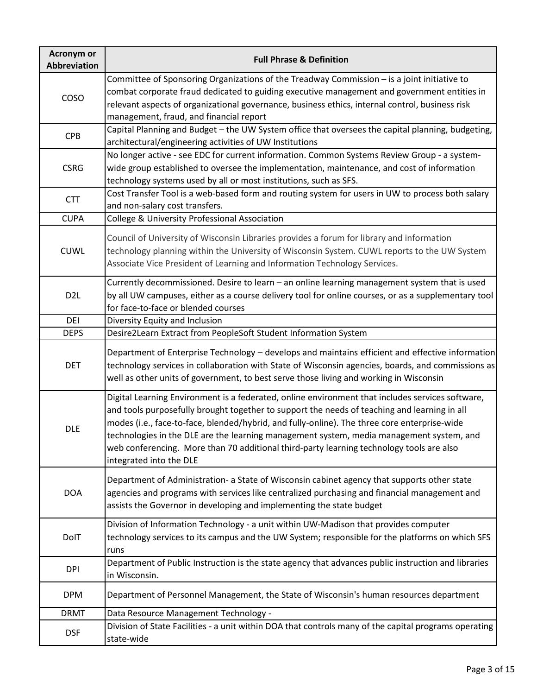| <b>Acronym or</b><br><b>Abbreviation</b> | <b>Full Phrase &amp; Definition</b>                                                                                                                                                                                                                                                                                                                                                                                                                                                                                 |
|------------------------------------------|---------------------------------------------------------------------------------------------------------------------------------------------------------------------------------------------------------------------------------------------------------------------------------------------------------------------------------------------------------------------------------------------------------------------------------------------------------------------------------------------------------------------|
| COSO                                     | Committee of Sponsoring Organizations of the Treadway Commission - is a joint initiative to<br>combat corporate fraud dedicated to guiding executive management and government entities in<br>relevant aspects of organizational governance, business ethics, internal control, business risk<br>management, fraud, and financial report                                                                                                                                                                            |
| <b>CPB</b>                               | Capital Planning and Budget - the UW System office that oversees the capital planning, budgeting,<br>architectural/engineering activities of UW Institutions                                                                                                                                                                                                                                                                                                                                                        |
| <b>CSRG</b>                              | No longer active - see EDC for current information. Common Systems Review Group - a system-<br>wide group established to oversee the implementation, maintenance, and cost of information<br>technology systems used by all or most institutions, such as SFS.                                                                                                                                                                                                                                                      |
| <b>CTT</b>                               | Cost Transfer Tool is a web-based form and routing system for users in UW to process both salary<br>and non-salary cost transfers.                                                                                                                                                                                                                                                                                                                                                                                  |
| <b>CUPA</b>                              | College & University Professional Association                                                                                                                                                                                                                                                                                                                                                                                                                                                                       |
| <b>CUWL</b>                              | Council of University of Wisconsin Libraries provides a forum for library and information<br>technology planning within the University of Wisconsin System. CUWL reports to the UW System<br>Associate Vice President of Learning and Information Technology Services.                                                                                                                                                                                                                                              |
| D <sub>2L</sub>                          | Currently decommissioned. Desire to learn - an online learning management system that is used<br>by all UW campuses, either as a course delivery tool for online courses, or as a supplementary tool<br>for face-to-face or blended courses                                                                                                                                                                                                                                                                         |
| DEI                                      | Diversity Equity and Inclusion                                                                                                                                                                                                                                                                                                                                                                                                                                                                                      |
| <b>DEPS</b>                              | Desire2Learn Extract from PeopleSoft Student Information System                                                                                                                                                                                                                                                                                                                                                                                                                                                     |
| <b>DET</b>                               | Department of Enterprise Technology - develops and maintains efficient and effective information<br>technology services in collaboration with State of Wisconsin agencies, boards, and commissions as<br>well as other units of government, to best serve those living and working in Wisconsin                                                                                                                                                                                                                     |
| <b>DLE</b>                               | Digital Learning Environment is a federated, online environment that includes services software,<br>and tools purposefully brought together to support the needs of teaching and learning in all<br>modes (i.e., face-to-face, blended/hybrid, and fully-online). The three core enterprise-wide<br>technologies in the DLE are the learning management system, media management system, and<br>web conferencing. More than 70 additional third-party learning technology tools are also<br>integrated into the DLE |
| <b>DOA</b>                               | Department of Administration- a State of Wisconsin cabinet agency that supports other state<br>agencies and programs with services like centralized purchasing and financial management and<br>assists the Governor in developing and implementing the state budget                                                                                                                                                                                                                                                 |
| DolT                                     | Division of Information Technology - a unit within UW-Madison that provides computer<br>technology services to its campus and the UW System; responsible for the platforms on which SFS<br>runs                                                                                                                                                                                                                                                                                                                     |
| <b>DPI</b>                               | Department of Public Instruction is the state agency that advances public instruction and libraries<br>in Wisconsin.                                                                                                                                                                                                                                                                                                                                                                                                |
| <b>DPM</b>                               | Department of Personnel Management, the State of Wisconsin's human resources department                                                                                                                                                                                                                                                                                                                                                                                                                             |
| <b>DRMT</b>                              | Data Resource Management Technology -                                                                                                                                                                                                                                                                                                                                                                                                                                                                               |
| <b>DSF</b>                               | Division of State Facilities - a unit within DOA that controls many of the capital programs operating<br>state-wide                                                                                                                                                                                                                                                                                                                                                                                                 |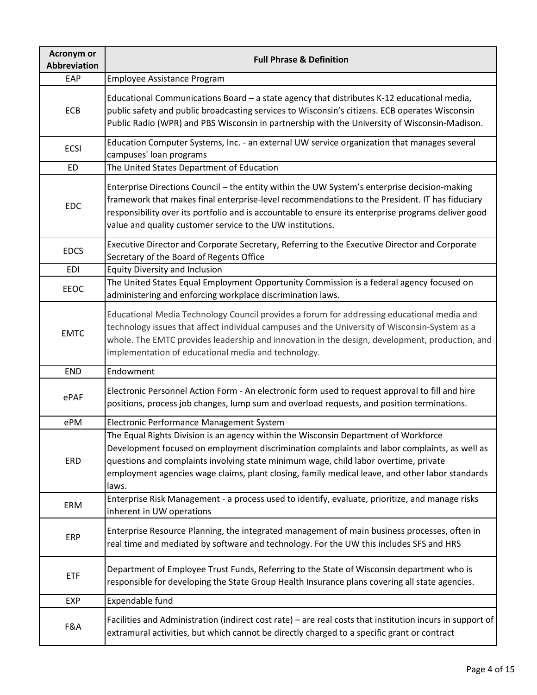| <b>Acronym or</b><br><b>Abbreviation</b> | <b>Full Phrase &amp; Definition</b>                                                                                                                                                                                                                                                                                                                                                     |
|------------------------------------------|-----------------------------------------------------------------------------------------------------------------------------------------------------------------------------------------------------------------------------------------------------------------------------------------------------------------------------------------------------------------------------------------|
| EAP                                      | Employee Assistance Program                                                                                                                                                                                                                                                                                                                                                             |
| <b>ECB</b>                               | Educational Communications Board - a state agency that distributes K-12 educational media,<br>public safety and public broadcasting services to Wisconsin's citizens. ECB operates Wisconsin<br>Public Radio (WPR) and PBS Wisconsin in partnership with the University of Wisconsin-Madison.                                                                                           |
| <b>ECSI</b>                              | Education Computer Systems, Inc. - an external UW service organization that manages several<br>campuses' loan programs                                                                                                                                                                                                                                                                  |
| <b>ED</b>                                | The United States Department of Education                                                                                                                                                                                                                                                                                                                                               |
| <b>EDC</b>                               | Enterprise Directions Council - the entity within the UW System's enterprise decision-making<br>framework that makes final enterprise-level recommendations to the President. IT has fiduciary<br>responsibility over its portfolio and is accountable to ensure its enterprise programs deliver good<br>value and quality customer service to the UW institutions.                     |
| <b>EDCS</b>                              | Executive Director and Corporate Secretary, Referring to the Executive Director and Corporate<br>Secretary of the Board of Regents Office                                                                                                                                                                                                                                               |
| <b>EDI</b>                               | <b>Equity Diversity and Inclusion</b>                                                                                                                                                                                                                                                                                                                                                   |
| EEOC                                     | The United States Equal Employment Opportunity Commission is a federal agency focused on<br>administering and enforcing workplace discrimination laws.                                                                                                                                                                                                                                  |
| <b>EMTC</b>                              | Educational Media Technology Council provides a forum for addressing educational media and<br>technology issues that affect individual campuses and the University of Wisconsin-System as a<br>whole. The EMTC provides leadership and innovation in the design, development, production, and<br>implementation of educational media and technology.                                    |
| <b>END</b>                               | Endowment                                                                                                                                                                                                                                                                                                                                                                               |
| ePAF                                     | Electronic Personnel Action Form - An electronic form used to request approval to fill and hire<br>positions, process job changes, lump sum and overload requests, and position terminations.                                                                                                                                                                                           |
| ePM                                      | Electronic Performance Management System                                                                                                                                                                                                                                                                                                                                                |
| ERD                                      | The Equal Rights Division is an agency within the Wisconsin Department of Workforce<br>Development focused on employment discrimination complaints and labor complaints, as well as<br>questions and complaints involving state minimum wage, child labor overtime, private<br>employment agencies wage claims, plant closing, family medical leave, and other labor standards<br>laws. |
| ERM                                      | Enterprise Risk Management - a process used to identify, evaluate, prioritize, and manage risks<br>inherent in UW operations                                                                                                                                                                                                                                                            |
| <b>ERP</b>                               | Enterprise Resource Planning, the integrated management of main business processes, often in<br>real time and mediated by software and technology. For the UW this includes SFS and HRS                                                                                                                                                                                                 |
| <b>ETF</b>                               | Department of Employee Trust Funds, Referring to the State of Wisconsin department who is<br>responsible for developing the State Group Health Insurance plans covering all state agencies.                                                                                                                                                                                             |
| <b>EXP</b>                               | Expendable fund                                                                                                                                                                                                                                                                                                                                                                         |
| F&A                                      | Facilities and Administration (indirect cost rate) – are real costs that institution incurs in support of<br>extramural activities, but which cannot be directly charged to a specific grant or contract                                                                                                                                                                                |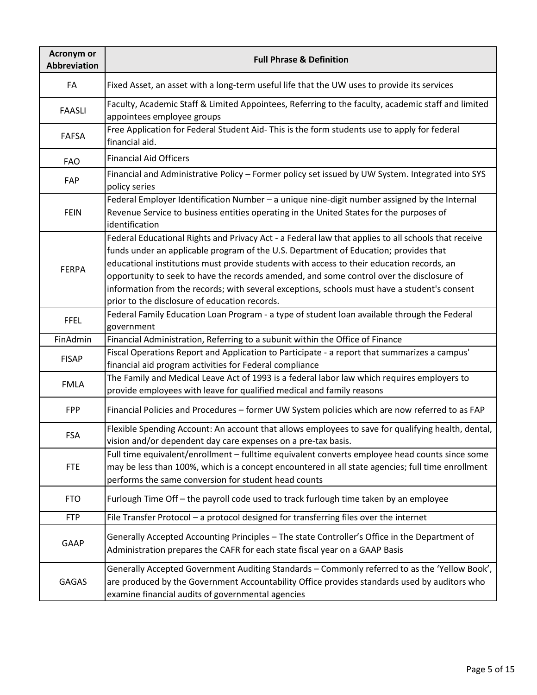| <b>Acronym or</b><br>Abbreviation | <b>Full Phrase &amp; Definition</b>                                                                                                                                                                                                                                                                                                                                                                                                                                                                                                   |
|-----------------------------------|---------------------------------------------------------------------------------------------------------------------------------------------------------------------------------------------------------------------------------------------------------------------------------------------------------------------------------------------------------------------------------------------------------------------------------------------------------------------------------------------------------------------------------------|
| FA                                | Fixed Asset, an asset with a long-term useful life that the UW uses to provide its services                                                                                                                                                                                                                                                                                                                                                                                                                                           |
| <b>FAASLI</b>                     | Faculty, Academic Staff & Limited Appointees, Referring to the faculty, academic staff and limited<br>appointees employee groups                                                                                                                                                                                                                                                                                                                                                                                                      |
| <b>FAFSA</b>                      | Free Application for Federal Student Aid-This is the form students use to apply for federal<br>financial aid.                                                                                                                                                                                                                                                                                                                                                                                                                         |
| <b>FAO</b>                        | <b>Financial Aid Officers</b>                                                                                                                                                                                                                                                                                                                                                                                                                                                                                                         |
| FAP                               | Financial and Administrative Policy - Former policy set issued by UW System. Integrated into SYS<br>policy series                                                                                                                                                                                                                                                                                                                                                                                                                     |
| <b>FEIN</b>                       | Federal Employer Identification Number - a unique nine-digit number assigned by the Internal<br>Revenue Service to business entities operating in the United States for the purposes of<br>identification                                                                                                                                                                                                                                                                                                                             |
| <b>FERPA</b>                      | Federal Educational Rights and Privacy Act - a Federal law that applies to all schools that receive<br>funds under an applicable program of the U.S. Department of Education; provides that<br>educational institutions must provide students with access to their education records, an<br>opportunity to seek to have the records amended, and some control over the disclosure of<br>information from the records; with several exceptions, schools must have a student's consent<br>prior to the disclosure of education records. |
| <b>FFEL</b>                       | Federal Family Education Loan Program - a type of student loan available through the Federal<br>government                                                                                                                                                                                                                                                                                                                                                                                                                            |
| FinAdmin                          | Financial Administration, Referring to a subunit within the Office of Finance                                                                                                                                                                                                                                                                                                                                                                                                                                                         |
| <b>FISAP</b>                      | Fiscal Operations Report and Application to Participate - a report that summarizes a campus'<br>financial aid program activities for Federal compliance                                                                                                                                                                                                                                                                                                                                                                               |
| <b>FMLA</b>                       | The Family and Medical Leave Act of 1993 is a federal labor law which requires employers to<br>provide employees with leave for qualified medical and family reasons                                                                                                                                                                                                                                                                                                                                                                  |
| <b>FPP</b>                        | Financial Policies and Procedures - former UW System policies which are now referred to as FAP                                                                                                                                                                                                                                                                                                                                                                                                                                        |
| <b>FSA</b>                        | Flexible Spending Account: An account that allows employees to save for qualifying health, dental,<br>vision and/or dependent day care expenses on a pre-tax basis.                                                                                                                                                                                                                                                                                                                                                                   |
| <b>FTE</b>                        | Full time equivalent/enrollment - fulltime equivalent converts employee head counts since some<br>may be less than 100%, which is a concept encountered in all state agencies; full time enrollment<br>performs the same conversion for student head counts                                                                                                                                                                                                                                                                           |
| <b>FTO</b>                        | Furlough Time Off - the payroll code used to track furlough time taken by an employee                                                                                                                                                                                                                                                                                                                                                                                                                                                 |
| <b>FTP</b>                        | File Transfer Protocol - a protocol designed for transferring files over the internet                                                                                                                                                                                                                                                                                                                                                                                                                                                 |
| <b>GAAP</b>                       | Generally Accepted Accounting Principles - The state Controller's Office in the Department of<br>Administration prepares the CAFR for each state fiscal year on a GAAP Basis                                                                                                                                                                                                                                                                                                                                                          |
| <b>GAGAS</b>                      | Generally Accepted Government Auditing Standards - Commonly referred to as the 'Yellow Book',<br>are produced by the Government Accountability Office provides standards used by auditors who<br>examine financial audits of governmental agencies                                                                                                                                                                                                                                                                                    |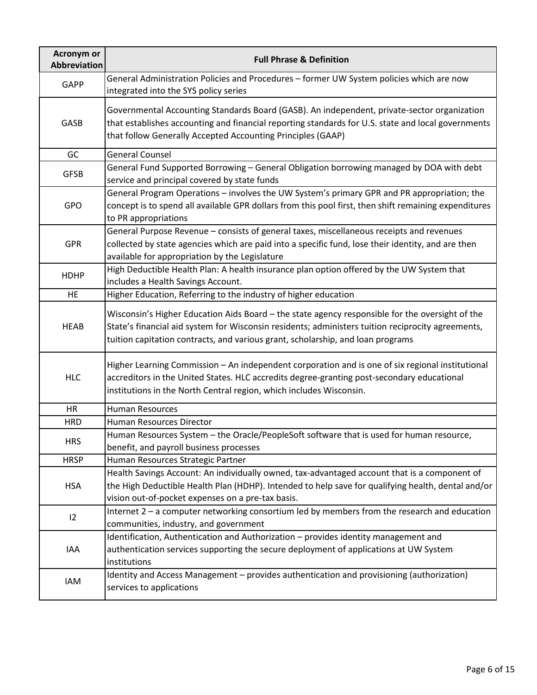| <b>Acronym or</b><br>Abbreviation | <b>Full Phrase &amp; Definition</b>                                                                                                                                                                                                                                                     |
|-----------------------------------|-----------------------------------------------------------------------------------------------------------------------------------------------------------------------------------------------------------------------------------------------------------------------------------------|
| <b>GAPP</b>                       | General Administration Policies and Procedures - former UW System policies which are now<br>integrated into the SYS policy series                                                                                                                                                       |
| GASB                              | Governmental Accounting Standards Board (GASB). An independent, private-sector organization<br>that establishes accounting and financial reporting standards for U.S. state and local governments<br>that follow Generally Accepted Accounting Principles (GAAP)                        |
| GC                                | <b>General Counsel</b>                                                                                                                                                                                                                                                                  |
| <b>GFSB</b>                       | General Fund Supported Borrowing - General Obligation borrowing managed by DOA with debt<br>service and principal covered by state funds                                                                                                                                                |
| <b>GPO</b>                        | General Program Operations - involves the UW System's primary GPR and PR appropriation; the<br>concept is to spend all available GPR dollars from this pool first, then shift remaining expenditures<br>to PR appropriations                                                            |
| <b>GPR</b>                        | General Purpose Revenue - consists of general taxes, miscellaneous receipts and revenues<br>collected by state agencies which are paid into a specific fund, lose their identity, and are then<br>available for appropriation by the Legislature                                        |
| <b>HDHP</b>                       | High Deductible Health Plan: A health insurance plan option offered by the UW System that<br>includes a Health Savings Account.                                                                                                                                                         |
| <b>HE</b>                         | Higher Education, Referring to the industry of higher education                                                                                                                                                                                                                         |
| <b>HEAB</b>                       | Wisconsin's Higher Education Aids Board - the state agency responsible for the oversight of the<br>State's financial aid system for Wisconsin residents; administers tuition reciprocity agreements,<br>tuition capitation contracts, and various grant, scholarship, and loan programs |
| <b>HLC</b>                        | Higher Learning Commission - An independent corporation and is one of six regional institutional<br>accreditors in the United States. HLC accredits degree-granting post-secondary educational<br>institutions in the North Central region, which includes Wisconsin.                   |
| <b>HR</b>                         | <b>Human Resources</b>                                                                                                                                                                                                                                                                  |
| <b>HRD</b>                        | Human Resources Director                                                                                                                                                                                                                                                                |
| <b>HRS</b>                        | Human Resources System - the Oracle/PeopleSoft software that is used for human resource,<br>benefit, and payroll business processes                                                                                                                                                     |
| <b>HRSP</b>                       | Human Resources Strategic Partner                                                                                                                                                                                                                                                       |
| <b>HSA</b>                        | Health Savings Account: An individually owned, tax-advantaged account that is a component of<br>the High Deductible Health Plan (HDHP). Intended to help save for qualifying health, dental and/or<br>vision out-of-pocket expenses on a pre-tax basis.                                 |
| 12                                | Internet 2 - a computer networking consortium led by members from the research and education<br>communities, industry, and government                                                                                                                                                   |
| IAA                               | Identification, Authentication and Authorization - provides identity management and<br>authentication services supporting the secure deployment of applications at UW System<br>institutions                                                                                            |
| IAM                               | Identity and Access Management - provides authentication and provisioning (authorization)<br>services to applications                                                                                                                                                                   |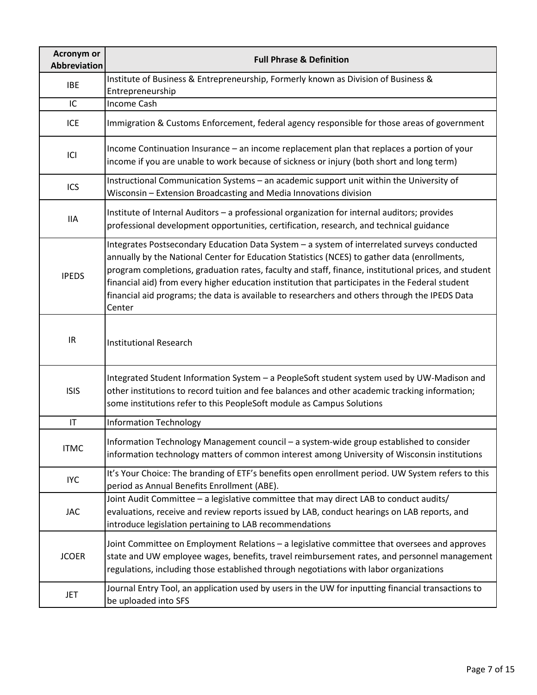| <b>Acronym or</b><br><b>Abbreviation</b> | <b>Full Phrase &amp; Definition</b>                                                                                                                                                                                                                                                                                                                                                                                                                                                                                |
|------------------------------------------|--------------------------------------------------------------------------------------------------------------------------------------------------------------------------------------------------------------------------------------------------------------------------------------------------------------------------------------------------------------------------------------------------------------------------------------------------------------------------------------------------------------------|
| <b>IBE</b>                               | Institute of Business & Entrepreneurship, Formerly known as Division of Business &<br>Entrepreneurship                                                                                                                                                                                                                                                                                                                                                                                                             |
| IC                                       | Income Cash                                                                                                                                                                                                                                                                                                                                                                                                                                                                                                        |
| <b>ICE</b>                               | Immigration & Customs Enforcement, federal agency responsible for those areas of government                                                                                                                                                                                                                                                                                                                                                                                                                        |
| ICI                                      | Income Continuation Insurance - an income replacement plan that replaces a portion of your<br>income if you are unable to work because of sickness or injury (both short and long term)                                                                                                                                                                                                                                                                                                                            |
| ICS                                      | Instructional Communication Systems - an academic support unit within the University of<br>Wisconsin - Extension Broadcasting and Media Innovations division                                                                                                                                                                                                                                                                                                                                                       |
| <b>IIA</b>                               | Institute of Internal Auditors - a professional organization for internal auditors; provides<br>professional development opportunities, certification, research, and technical guidance                                                                                                                                                                                                                                                                                                                            |
| <b>IPEDS</b>                             | Integrates Postsecondary Education Data System - a system of interrelated surveys conducted<br>annually by the National Center for Education Statistics (NCES) to gather data (enrollments,<br>program completions, graduation rates, faculty and staff, finance, institutional prices, and student<br>financial aid) from every higher education institution that participates in the Federal student<br>financial aid programs; the data is available to researchers and others through the IPEDS Data<br>Center |
| IR                                       | <b>Institutional Research</b>                                                                                                                                                                                                                                                                                                                                                                                                                                                                                      |
| <b>ISIS</b>                              | Integrated Student Information System - a PeopleSoft student system used by UW-Madison and<br>other institutions to record tuition and fee balances and other academic tracking information;<br>some institutions refer to this PeopleSoft module as Campus Solutions                                                                                                                                                                                                                                              |
| $\mathsf{I}\mathsf{T}$                   | <b>Information Technology</b>                                                                                                                                                                                                                                                                                                                                                                                                                                                                                      |
| <b>ITMC</b>                              | Information Technology Management council - a system-wide group established to consider<br>information technology matters of common interest among University of Wisconsin institutions                                                                                                                                                                                                                                                                                                                            |
| <b>IYC</b>                               | It's Your Choice: The branding of ETF's benefits open enrollment period. UW System refers to this<br>period as Annual Benefits Enrollment (ABE).                                                                                                                                                                                                                                                                                                                                                                   |
| <b>JAC</b>                               | Joint Audit Committee - a legislative committee that may direct LAB to conduct audits/<br>evaluations, receive and review reports issued by LAB, conduct hearings on LAB reports, and<br>introduce legislation pertaining to LAB recommendations                                                                                                                                                                                                                                                                   |
| <b>JCOER</b>                             | Joint Committee on Employment Relations - a legislative committee that oversees and approves<br>state and UW employee wages, benefits, travel reimbursement rates, and personnel management<br>regulations, including those established through negotiations with labor organizations                                                                                                                                                                                                                              |
| <b>JET</b>                               | Journal Entry Tool, an application used by users in the UW for inputting financial transactions to<br>be uploaded into SFS                                                                                                                                                                                                                                                                                                                                                                                         |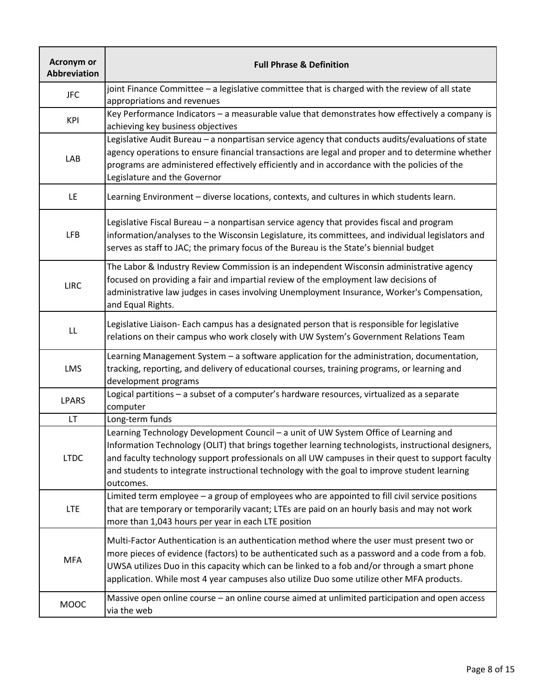| <b>Acronym or</b><br><b>Abbreviation</b> | <b>Full Phrase &amp; Definition</b>                                                                                                                                                                                                                                                                                                                                                                           |
|------------------------------------------|---------------------------------------------------------------------------------------------------------------------------------------------------------------------------------------------------------------------------------------------------------------------------------------------------------------------------------------------------------------------------------------------------------------|
| <b>JFC</b>                               | joint Finance Committee - a legislative committee that is charged with the review of all state<br>appropriations and revenues                                                                                                                                                                                                                                                                                 |
| KPI                                      | Key Performance Indicators - a measurable value that demonstrates how effectively a company is<br>achieving key business objectives                                                                                                                                                                                                                                                                           |
| LAB                                      | Legislative Audit Bureau - a nonpartisan service agency that conducts audits/evaluations of state<br>agency operations to ensure financial transactions are legal and proper and to determine whether<br>programs are administered effectively efficiently and in accordance with the policies of the<br>Legislature and the Governor                                                                         |
| LE.                                      | Learning Environment - diverse locations, contexts, and cultures in which students learn.                                                                                                                                                                                                                                                                                                                     |
| <b>LFB</b>                               | Legislative Fiscal Bureau - a nonpartisan service agency that provides fiscal and program<br>information/analyses to the Wisconsin Legislature, its committees, and individual legislators and<br>serves as staff to JAC; the primary focus of the Bureau is the State's biennial budget                                                                                                                      |
| <b>LIRC</b>                              | The Labor & Industry Review Commission is an independent Wisconsin administrative agency<br>focused on providing a fair and impartial review of the employment law decisions of<br>administrative law judges in cases involving Unemployment Insurance, Worker's Compensation,<br>and Equal Rights.                                                                                                           |
| LL                                       | Legislative Liaison- Each campus has a designated person that is responsible for legislative<br>relations on their campus who work closely with UW System's Government Relations Team                                                                                                                                                                                                                         |
| LMS                                      | Learning Management System - a software application for the administration, documentation,<br>tracking, reporting, and delivery of educational courses, training programs, or learning and<br>development programs                                                                                                                                                                                            |
| <b>LPARS</b>                             | Logical partitions - a subset of a computer's hardware resources, virtualized as a separate<br>computer                                                                                                                                                                                                                                                                                                       |
| LT                                       | Long-term funds                                                                                                                                                                                                                                                                                                                                                                                               |
| <b>LTDC</b>                              | Learning Technology Development Council - a unit of UW System Office of Learning and<br>Information Technology (OLIT) that brings together learning technologists, instructional designers,<br>and faculty technology support professionals on all UW campuses in their quest to support faculty<br>and students to integrate instructional technology with the goal to improve student learning<br>outcomes. |
| <b>LTE</b>                               | Limited term employee - a group of employees who are appointed to fill civil service positions<br>that are temporary or temporarily vacant; LTEs are paid on an hourly basis and may not work<br>more than 1,043 hours per year in each LTE position                                                                                                                                                          |
| <b>MFA</b>                               | Multi-Factor Authentication is an authentication method where the user must present two or<br>more pieces of evidence (factors) to be authenticated such as a password and a code from a fob.<br>UWSA utilizes Duo in this capacity which can be linked to a fob and/or through a smart phone<br>application. While most 4 year campuses also utilize Duo some utilize other MFA products.                    |
| <b>MOOC</b>                              | Massive open online course - an online course aimed at unlimited participation and open access<br>via the web                                                                                                                                                                                                                                                                                                 |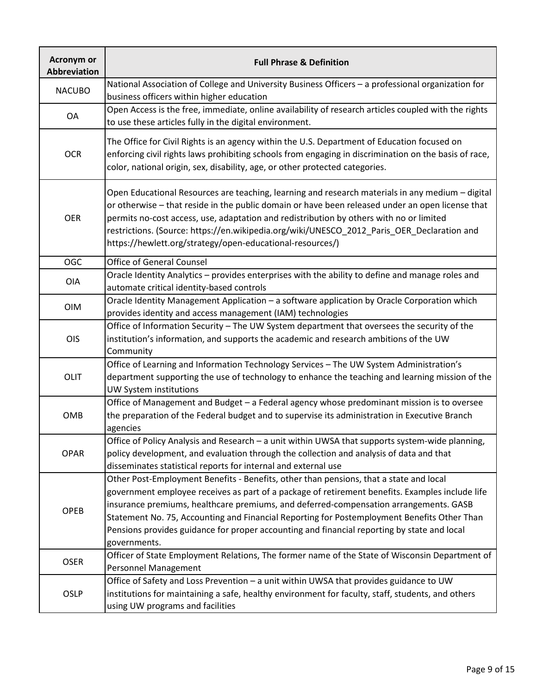| <b>Acronym or</b><br>Abbreviation | <b>Full Phrase &amp; Definition</b>                                                                                                                                                                                                                                                                                                                                                                                                                                                              |
|-----------------------------------|--------------------------------------------------------------------------------------------------------------------------------------------------------------------------------------------------------------------------------------------------------------------------------------------------------------------------------------------------------------------------------------------------------------------------------------------------------------------------------------------------|
| <b>NACUBO</b>                     | National Association of College and University Business Officers - a professional organization for<br>business officers within higher education                                                                                                                                                                                                                                                                                                                                                  |
| OA                                | Open Access is the free, immediate, online availability of research articles coupled with the rights<br>to use these articles fully in the digital environment.                                                                                                                                                                                                                                                                                                                                  |
| <b>OCR</b>                        | The Office for Civil Rights is an agency within the U.S. Department of Education focused on<br>enforcing civil rights laws prohibiting schools from engaging in discrimination on the basis of race,<br>color, national origin, sex, disability, age, or other protected categories.                                                                                                                                                                                                             |
| <b>OER</b>                        | Open Educational Resources are teaching, learning and research materials in any medium - digital<br>or otherwise - that reside in the public domain or have been released under an open license that<br>permits no-cost access, use, adaptation and redistribution by others with no or limited<br>restrictions. (Source: https://en.wikipedia.org/wiki/UNESCO_2012_Paris_OER_Declaration and<br>https://hewlett.org/strategy/open-educational-resources/)                                       |
| <b>OGC</b>                        | <b>Office of General Counsel</b>                                                                                                                                                                                                                                                                                                                                                                                                                                                                 |
| <b>OIA</b>                        | Oracle Identity Analytics - provides enterprises with the ability to define and manage roles and<br>automate critical identity-based controls                                                                                                                                                                                                                                                                                                                                                    |
| <b>OIM</b>                        | Oracle Identity Management Application - a software application by Oracle Corporation which<br>provides identity and access management (IAM) technologies                                                                                                                                                                                                                                                                                                                                        |
| OIS                               | Office of Information Security - The UW System department that oversees the security of the<br>institution's information, and supports the academic and research ambitions of the UW<br>Community                                                                                                                                                                                                                                                                                                |
| OLIT                              | Office of Learning and Information Technology Services - The UW System Administration's<br>department supporting the use of technology to enhance the teaching and learning mission of the<br>UW System institutions                                                                                                                                                                                                                                                                             |
| OMB                               | Office of Management and Budget - a Federal agency whose predominant mission is to oversee<br>the preparation of the Federal budget and to supervise its administration in Executive Branch<br>agencies                                                                                                                                                                                                                                                                                          |
| <b>OPAR</b>                       | Office of Policy Analysis and Research - a unit within UWSA that supports system-wide planning,<br>policy development, and evaluation through the collection and analysis of data and that<br>disseminates statistical reports for internal and external use                                                                                                                                                                                                                                     |
| OPEB                              | Other Post-Employment Benefits - Benefits, other than pensions, that a state and local<br>government employee receives as part of a package of retirement benefits. Examples include life<br>insurance premiums, healthcare premiums, and deferred-compensation arrangements. GASB<br>Statement No. 75, Accounting and Financial Reporting for Postemployment Benefits Other Than<br>Pensions provides guidance for proper accounting and financial reporting by state and local<br>governments. |
| <b>OSER</b>                       | Officer of State Employment Relations, The former name of the State of Wisconsin Department of<br>Personnel Management                                                                                                                                                                                                                                                                                                                                                                           |
| <b>OSLP</b>                       | Office of Safety and Loss Prevention - a unit within UWSA that provides guidance to UW<br>institutions for maintaining a safe, healthy environment for faculty, staff, students, and others<br>using UW programs and facilities                                                                                                                                                                                                                                                                  |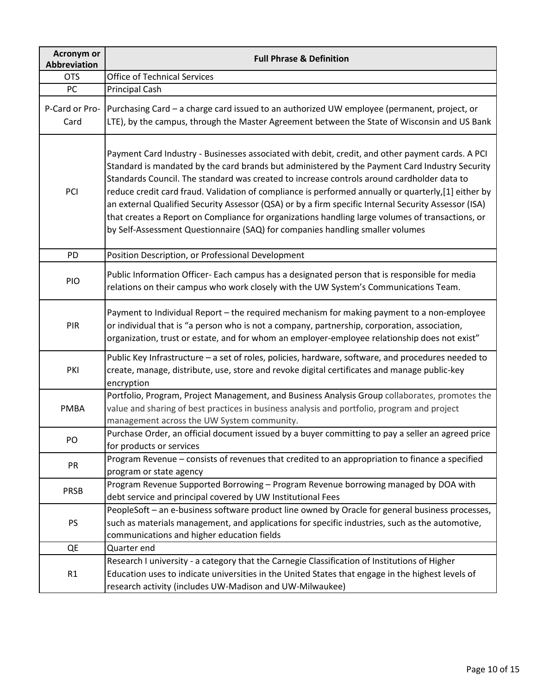| <b>Acronym or</b><br><b>Abbreviation</b> | <b>Full Phrase &amp; Definition</b>                                                                                                                                                                                                                                                                                                                                                                                                                                                                                                                                                                                                                                                                  |
|------------------------------------------|------------------------------------------------------------------------------------------------------------------------------------------------------------------------------------------------------------------------------------------------------------------------------------------------------------------------------------------------------------------------------------------------------------------------------------------------------------------------------------------------------------------------------------------------------------------------------------------------------------------------------------------------------------------------------------------------------|
| <b>OTS</b>                               | <b>Office of Technical Services</b>                                                                                                                                                                                                                                                                                                                                                                                                                                                                                                                                                                                                                                                                  |
| PC                                       | <b>Principal Cash</b>                                                                                                                                                                                                                                                                                                                                                                                                                                                                                                                                                                                                                                                                                |
| P-Card or Pro-<br>Card                   | Purchasing Card - a charge card issued to an authorized UW employee (permanent, project, or<br>LTE), by the campus, through the Master Agreement between the State of Wisconsin and US Bank                                                                                                                                                                                                                                                                                                                                                                                                                                                                                                          |
| PCI                                      | Payment Card Industry - Businesses associated with debit, credit, and other payment cards. A PCI<br>Standard is mandated by the card brands but administered by the Payment Card Industry Security<br>Standards Council. The standard was created to increase controls around cardholder data to<br>reduce credit card fraud. Validation of compliance is performed annually or quarterly,[1] either by<br>an external Qualified Security Assessor (QSA) or by a firm specific Internal Security Assessor (ISA)<br>that creates a Report on Compliance for organizations handling large volumes of transactions, or<br>by Self-Assessment Questionnaire (SAQ) for companies handling smaller volumes |
| PD                                       | Position Description, or Professional Development                                                                                                                                                                                                                                                                                                                                                                                                                                                                                                                                                                                                                                                    |
| PIO                                      | Public Information Officer- Each campus has a designated person that is responsible for media<br>relations on their campus who work closely with the UW System's Communications Team.                                                                                                                                                                                                                                                                                                                                                                                                                                                                                                                |
| PIR                                      | Payment to Individual Report - the required mechanism for making payment to a non-employee<br>or individual that is "a person who is not a company, partnership, corporation, association,<br>organization, trust or estate, and for whom an employer-employee relationship does not exist"                                                                                                                                                                                                                                                                                                                                                                                                          |
| PKI                                      | Public Key Infrastructure - a set of roles, policies, hardware, software, and procedures needed to<br>create, manage, distribute, use, store and revoke digital certificates and manage public-key<br>encryption                                                                                                                                                                                                                                                                                                                                                                                                                                                                                     |
| <b>PMBA</b>                              | Portfolio, Program, Project Management, and Business Analysis Group collaborates, promotes the<br>value and sharing of best practices in business analysis and portfolio, program and project<br>management across the UW System community.                                                                                                                                                                                                                                                                                                                                                                                                                                                          |
| PO                                       | Purchase Order, an official document issued by a buyer committing to pay a seller an agreed price<br>for products or services                                                                                                                                                                                                                                                                                                                                                                                                                                                                                                                                                                        |
| PR                                       | Program Revenue - consists of revenues that credited to an appropriation to finance a specified<br>program or state agency                                                                                                                                                                                                                                                                                                                                                                                                                                                                                                                                                                           |
| <b>PRSB</b>                              | Program Revenue Supported Borrowing - Program Revenue borrowing managed by DOA with<br>debt service and principal covered by UW Institutional Fees                                                                                                                                                                                                                                                                                                                                                                                                                                                                                                                                                   |
| PS                                       | PeopleSoft - an e-business software product line owned by Oracle for general business processes,<br>such as materials management, and applications for specific industries, such as the automotive,<br>communications and higher education fields                                                                                                                                                                                                                                                                                                                                                                                                                                                    |
| QE                                       | Quarter end                                                                                                                                                                                                                                                                                                                                                                                                                                                                                                                                                                                                                                                                                          |
| R1                                       | Research I university - a category that the Carnegie Classification of Institutions of Higher<br>Education uses to indicate universities in the United States that engage in the highest levels of<br>research activity (includes UW-Madison and UW-Milwaukee)                                                                                                                                                                                                                                                                                                                                                                                                                                       |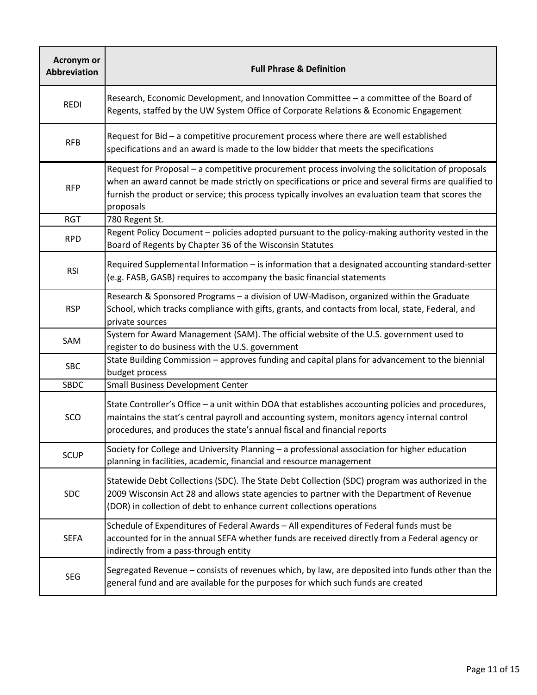| <b>Acronym or</b><br><b>Abbreviation</b> | <b>Full Phrase &amp; Definition</b>                                                                                                                                                                                                                                                                                        |
|------------------------------------------|----------------------------------------------------------------------------------------------------------------------------------------------------------------------------------------------------------------------------------------------------------------------------------------------------------------------------|
| <b>REDI</b>                              | Research, Economic Development, and Innovation Committee - a committee of the Board of<br>Regents, staffed by the UW System Office of Corporate Relations & Economic Engagement                                                                                                                                            |
| <b>RFB</b>                               | Request for Bid - a competitive procurement process where there are well established<br>specifications and an award is made to the low bidder that meets the specifications                                                                                                                                                |
| <b>RFP</b>                               | Request for Proposal - a competitive procurement process involving the solicitation of proposals<br>when an award cannot be made strictly on specifications or price and several firms are qualified to<br>furnish the product or service; this process typically involves an evaluation team that scores the<br>proposals |
| <b>RGT</b>                               | 780 Regent St.                                                                                                                                                                                                                                                                                                             |
| <b>RPD</b>                               | Regent Policy Document - policies adopted pursuant to the policy-making authority vested in the<br>Board of Regents by Chapter 36 of the Wisconsin Statutes                                                                                                                                                                |
| <b>RSI</b>                               | Required Supplemental Information - is information that a designated accounting standard-setter<br>(e.g. FASB, GASB) requires to accompany the basic financial statements                                                                                                                                                  |
| <b>RSP</b>                               | Research & Sponsored Programs - a division of UW-Madison, organized within the Graduate<br>School, which tracks compliance with gifts, grants, and contacts from local, state, Federal, and<br>private sources                                                                                                             |
| SAM                                      | System for Award Management (SAM). The official website of the U.S. government used to<br>register to do business with the U.S. government                                                                                                                                                                                 |
| <b>SBC</b>                               | State Building Commission - approves funding and capital plans for advancement to the biennial<br>budget process                                                                                                                                                                                                           |
| <b>SBDC</b>                              | <b>Small Business Development Center</b>                                                                                                                                                                                                                                                                                   |
| SCO                                      | State Controller's Office - a unit within DOA that establishes accounting policies and procedures,<br>maintains the stat's central payroll and accounting system, monitors agency internal control<br>procedures, and produces the state's annual fiscal and financial reports                                             |
| <b>SCUP</b>                              | Society for College and University Planning - a professional association for higher education<br>planning in facilities, academic, financial and resource management                                                                                                                                                       |
| <b>SDC</b>                               | Statewide Debt Collections (SDC). The State Debt Collection (SDC) program was authorized in the<br>2009 Wisconsin Act 28 and allows state agencies to partner with the Department of Revenue<br>(DOR) in collection of debt to enhance current collections operations                                                      |
| <b>SEFA</b>                              | Schedule of Expenditures of Federal Awards - All expenditures of Federal funds must be<br>accounted for in the annual SEFA whether funds are received directly from a Federal agency or<br>indirectly from a pass-through entity                                                                                           |
| <b>SEG</b>                               | Segregated Revenue - consists of revenues which, by law, are deposited into funds other than the<br>general fund and are available for the purposes for which such funds are created                                                                                                                                       |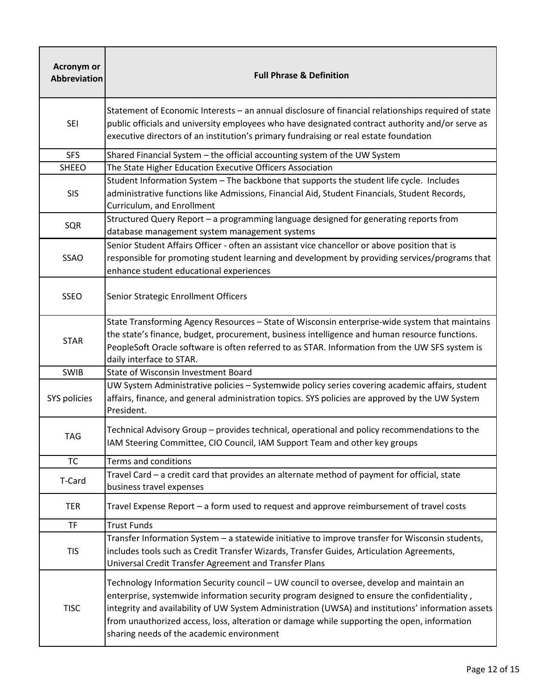| <b>Acronym or</b><br><b>Abbreviation</b> | <b>Full Phrase &amp; Definition</b>                                                                                                                                                                                                                                                                                                                                                                                                       |
|------------------------------------------|-------------------------------------------------------------------------------------------------------------------------------------------------------------------------------------------------------------------------------------------------------------------------------------------------------------------------------------------------------------------------------------------------------------------------------------------|
| <b>SEI</b>                               | Statement of Economic Interests - an annual disclosure of financial relationships required of state<br>public officials and university employees who have designated contract authority and/or serve as<br>executive directors of an institution's primary fundraising or real estate foundation                                                                                                                                          |
| <b>SFS</b>                               | Shared Financial System - the official accounting system of the UW System                                                                                                                                                                                                                                                                                                                                                                 |
| <b>SHEEO</b>                             | The State Higher Education Executive Officers Association                                                                                                                                                                                                                                                                                                                                                                                 |
| <b>SIS</b>                               | Student Information System - The backbone that supports the student life cycle. Includes<br>administrative functions like Admissions, Financial Aid, Student Financials, Student Records,<br>Curriculum, and Enrollment                                                                                                                                                                                                                   |
| SQR                                      | Structured Query Report - a programming language designed for generating reports from<br>database management system management systems                                                                                                                                                                                                                                                                                                    |
| <b>SSAO</b>                              | Senior Student Affairs Officer - often an assistant vice chancellor or above position that is<br>responsible for promoting student learning and development by providing services/programs that<br>enhance student educational experiences                                                                                                                                                                                                |
| <b>SSEO</b>                              | Senior Strategic Enrollment Officers                                                                                                                                                                                                                                                                                                                                                                                                      |
| <b>STAR</b>                              | State Transforming Agency Resources - State of Wisconsin enterprise-wide system that maintains<br>the state's finance, budget, procurement, business intelligence and human resource functions.<br>PeopleSoft Oracle software is often referred to as STAR. Information from the UW SFS system is<br>daily interface to STAR.                                                                                                             |
| SWIB                                     | State of Wisconsin Investment Board                                                                                                                                                                                                                                                                                                                                                                                                       |
| SYS policies                             | UW System Administrative policies - Systemwide policy series covering academic affairs, student<br>affairs, finance, and general administration topics. SYS policies are approved by the UW System<br>President.                                                                                                                                                                                                                          |
| <b>TAG</b>                               | Technical Advisory Group - provides technical, operational and policy recommendations to the<br>IAM Steering Committee, CIO Council, IAM Support Team and other key groups                                                                                                                                                                                                                                                                |
| <b>TC</b>                                | Terms and conditions                                                                                                                                                                                                                                                                                                                                                                                                                      |
| T-Card                                   | Travel Card - a credit card that provides an alternate method of payment for official, state<br>business travel expenses                                                                                                                                                                                                                                                                                                                  |
| <b>TER</b>                               | Travel Expense Report - a form used to request and approve reimbursement of travel costs                                                                                                                                                                                                                                                                                                                                                  |
| <b>TF</b>                                | <b>Trust Funds</b>                                                                                                                                                                                                                                                                                                                                                                                                                        |
| <b>TIS</b>                               | Transfer Information System - a statewide initiative to improve transfer for Wisconsin students,<br>includes tools such as Credit Transfer Wizards, Transfer Guides, Articulation Agreements,<br>Universal Credit Transfer Agreement and Transfer Plans                                                                                                                                                                                   |
| <b>TISC</b>                              | Technology Information Security council - UW council to oversee, develop and maintain an<br>enterprise, systemwide information security program designed to ensure the confidentiality,<br>integrity and availability of UW System Administration (UWSA) and institutions' information assets<br>from unauthorized access, loss, alteration or damage while supporting the open, information<br>sharing needs of the academic environment |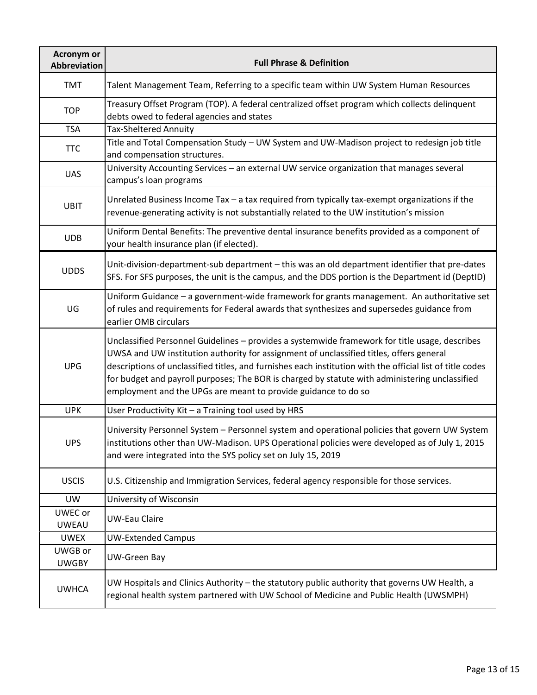| Acronym or<br><b>Abbreviation</b> | <b>Full Phrase &amp; Definition</b>                                                                                                                                                                                                                                                                                                                                                                                                                                        |
|-----------------------------------|----------------------------------------------------------------------------------------------------------------------------------------------------------------------------------------------------------------------------------------------------------------------------------------------------------------------------------------------------------------------------------------------------------------------------------------------------------------------------|
| <b>TMT</b>                        | Talent Management Team, Referring to a specific team within UW System Human Resources                                                                                                                                                                                                                                                                                                                                                                                      |
| <b>TOP</b>                        | Treasury Offset Program (TOP). A federal centralized offset program which collects delinquent<br>debts owed to federal agencies and states                                                                                                                                                                                                                                                                                                                                 |
| <b>TSA</b>                        | <b>Tax-Sheltered Annuity</b>                                                                                                                                                                                                                                                                                                                                                                                                                                               |
| <b>TTC</b>                        | Title and Total Compensation Study - UW System and UW-Madison project to redesign job title<br>and compensation structures.                                                                                                                                                                                                                                                                                                                                                |
| <b>UAS</b>                        | University Accounting Services - an external UW service organization that manages several<br>campus's loan programs                                                                                                                                                                                                                                                                                                                                                        |
| <b>UBIT</b>                       | Unrelated Business Income Tax - a tax required from typically tax-exempt organizations if the<br>revenue-generating activity is not substantially related to the UW institution's mission                                                                                                                                                                                                                                                                                  |
| <b>UDB</b>                        | Uniform Dental Benefits: The preventive dental insurance benefits provided as a component of<br>your health insurance plan (if elected).                                                                                                                                                                                                                                                                                                                                   |
| <b>UDDS</b>                       | Unit-division-department-sub department - this was an old department identifier that pre-dates<br>SFS. For SFS purposes, the unit is the campus, and the DDS portion is the Department id (DeptID)                                                                                                                                                                                                                                                                         |
| UG                                | Uniform Guidance - a government-wide framework for grants management. An authoritative set<br>of rules and requirements for Federal awards that synthesizes and supersedes guidance from<br>earlier OMB circulars                                                                                                                                                                                                                                                          |
| <b>UPG</b>                        | Unclassified Personnel Guidelines - provides a systemwide framework for title usage, describes<br>UWSA and UW institution authority for assignment of unclassified titles, offers general<br>descriptions of unclassified titles, and furnishes each institution with the official list of title codes<br>for budget and payroll purposes; The BOR is charged by statute with administering unclassified<br>employment and the UPGs are meant to provide guidance to do so |
| <b>UPK</b>                        | User Productivity Kit - a Training tool used by HRS                                                                                                                                                                                                                                                                                                                                                                                                                        |
| <b>UPS</b>                        | University Personnel System - Personnel system and operational policies that govern UW System<br>institutions other than UW-Madison. UPS Operational policies were developed as of July 1, 2015<br>and were integrated into the SYS policy set on July 15, 2019                                                                                                                                                                                                            |
| <b>USCIS</b>                      | U.S. Citizenship and Immigration Services, federal agency responsible for those services.                                                                                                                                                                                                                                                                                                                                                                                  |
| UW                                | University of Wisconsin                                                                                                                                                                                                                                                                                                                                                                                                                                                    |
| UWEC or<br><b>UWEAU</b>           | <b>UW-Eau Claire</b>                                                                                                                                                                                                                                                                                                                                                                                                                                                       |
| <b>UWEX</b>                       | <b>UW-Extended Campus</b>                                                                                                                                                                                                                                                                                                                                                                                                                                                  |
| UWGB or<br><b>UWGBY</b>           | <b>UW-Green Bay</b>                                                                                                                                                                                                                                                                                                                                                                                                                                                        |
| <b>UWHCA</b>                      | UW Hospitals and Clinics Authority - the statutory public authority that governs UW Health, a<br>regional health system partnered with UW School of Medicine and Public Health (UWSMPH)                                                                                                                                                                                                                                                                                    |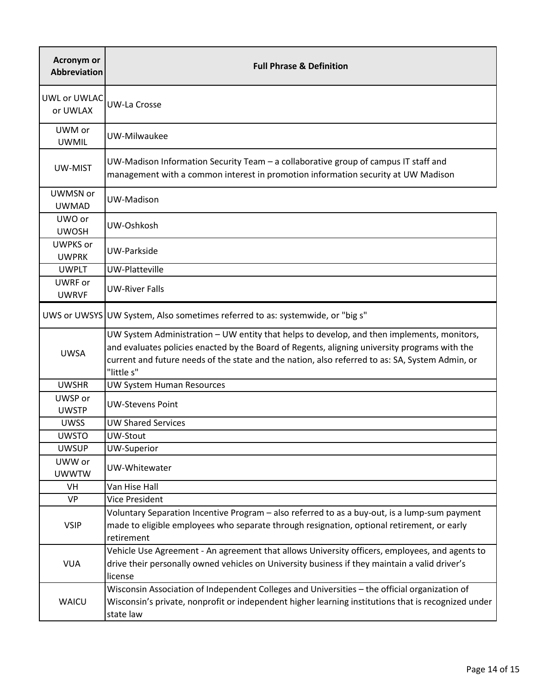| <b>Acronym or</b><br><b>Abbreviation</b> | <b>Full Phrase &amp; Definition</b>                                                                                                                                                                                                                                                                          |
|------------------------------------------|--------------------------------------------------------------------------------------------------------------------------------------------------------------------------------------------------------------------------------------------------------------------------------------------------------------|
| UWL or UWLAC<br>or UWLAX                 | <b>UW-La Crosse</b>                                                                                                                                                                                                                                                                                          |
| UWM or<br><b>UWMIL</b>                   | UW-Milwaukee                                                                                                                                                                                                                                                                                                 |
| UW-MIST                                  | UW-Madison Information Security Team - a collaborative group of campus IT staff and<br>management with a common interest in promotion information security at UW Madison                                                                                                                                     |
| UWMSN or<br><b>UWMAD</b>                 | UW-Madison                                                                                                                                                                                                                                                                                                   |
| UWO or<br><b>UWOSH</b>                   | UW-Oshkosh                                                                                                                                                                                                                                                                                                   |
| <b>UWPKS</b> or<br><b>UWPRK</b>          | UW-Parkside                                                                                                                                                                                                                                                                                                  |
| <b>UWPLT</b>                             | UW-Platteville                                                                                                                                                                                                                                                                                               |
| UWRF or<br><b>UWRVF</b>                  | <b>UW-River Falls</b>                                                                                                                                                                                                                                                                                        |
|                                          | UWS or UWSYS UW System, Also sometimes referred to as: systemwide, or "big s"                                                                                                                                                                                                                                |
| <b>UWSA</b>                              | UW System Administration - UW entity that helps to develop, and then implements, monitors,<br>and evaluates policies enacted by the Board of Regents, aligning university programs with the<br>current and future needs of the state and the nation, also referred to as: SA, System Admin, or<br>"little s" |
| <b>UWSHR</b>                             | UW System Human Resources                                                                                                                                                                                                                                                                                    |
| UWSP or<br><b>UWSTP</b>                  | <b>UW-Stevens Point</b>                                                                                                                                                                                                                                                                                      |
| <b>UWSS</b>                              | <b>UW Shared Services</b>                                                                                                                                                                                                                                                                                    |
| <b>UWSTO</b>                             | UW-Stout                                                                                                                                                                                                                                                                                                     |
| <b>UWSUP</b>                             | UW-Superior                                                                                                                                                                                                                                                                                                  |
| UWW or<br><b>UWWTW</b>                   | UW-Whitewater                                                                                                                                                                                                                                                                                                |
| VH                                       | Van Hise Hall                                                                                                                                                                                                                                                                                                |
| <b>VP</b>                                | <b>Vice President</b>                                                                                                                                                                                                                                                                                        |
| <b>VSIP</b>                              | Voluntary Separation Incentive Program – also referred to as a buy-out, is a lump-sum payment<br>made to eligible employees who separate through resignation, optional retirement, or early<br>retirement                                                                                                    |
| <b>VUA</b>                               | Vehicle Use Agreement - An agreement that allows University officers, employees, and agents to<br>drive their personally owned vehicles on University business if they maintain a valid driver's<br>license                                                                                                  |
| <b>WAICU</b>                             | Wisconsin Association of Independent Colleges and Universities - the official organization of<br>Wisconsin's private, nonprofit or independent higher learning institutions that is recognized under<br>state law                                                                                            |